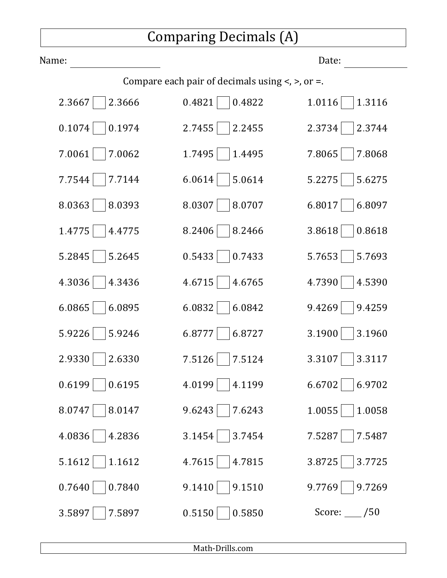## Comparing Decimals (A)

| Name:            |                                                           | Date:        |
|------------------|-----------------------------------------------------------|--------------|
|                  | Compare each pair of decimals using $\lt$ , $\gt$ , or =. |              |
| 2.3667           | 0.4821                                                    | 1.0116       |
| 2.3666           | 0.4822                                                    | 1.3116       |
| 0.1074           | 2.7455                                                    | 2.3734       |
| 0.1974           | 2.2455                                                    | 2.3744       |
| 7.0061           | 1.7495                                                    | 7.8065       |
| 7.0062           | 1.4495                                                    | 7.8068       |
| 7.7144           | 6.0614                                                    | 5.2275       |
| 7.7544           | 5.0614                                                    | 5.6275       |
| 8.0363           | 8.0307                                                    | 6.8017       |
| 8.0393           | 8.0707                                                    | 6.8097       |
| 1.4775           | 8.2406                                                    | 3.8618       |
| 4.4775           | 8.2466                                                    | 0.8618       |
| 5.2845           | 0.5433                                                    | 5.7653       |
| 5.2645           | 0.7433                                                    | 5.7693       |
| 4.3036           | 4.6715                                                    | 4.7390       |
| 4.3436           | 4.6765                                                    | 4.5390       |
| 6.0865           | 6.0832                                                    | 9.4269       |
| 6.0895           | 6.0842                                                    | 9.4259       |
| 5.9226           | 6.8777                                                    | 3.1900       |
| 5.9246           | 6.8727                                                    | 3.1960       |
| 2.9330           | 7.5126                                                    | 3.3107       |
| 2.6330           | 7.5124                                                    | 3.3117       |
| 0.6199           | 4.0199                                                    | 6.6702       |
| 0.6195           | 4.1199                                                    | 6.9702       |
| 8.0747           | 9.6243                                                    | 1.0055       |
| 8.0147           | 7.6243                                                    | 1.0058       |
| 4.0836           | 3.1454                                                    | 7.5287       |
| 4.2836           | 3.7454                                                    | 7.5487       |
| 5.1612           | 4.7615                                                    | 3.7725       |
| 1.1612           | 4.7815                                                    | 3.8725       |
| 0.7840           | 9.1510                                                    | 9.7769       |
| 0.7640           | 9.1410                                                    | 9.7269       |
| 3.5897<br>7.5897 | 0.5150<br>0.5850                                          | Score: $/50$ |

Math-Drills.com